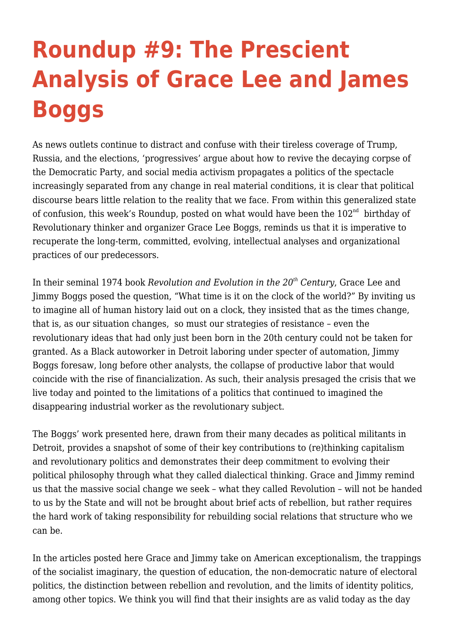# **[Roundup #9: The Prescient](https://intercommunalworkshop.org/roundup-9-prescient-analysis-grace-lee-james-boggs/) [Analysis of Grace Lee and James](https://intercommunalworkshop.org/roundup-9-prescient-analysis-grace-lee-james-boggs/) [Boggs](https://intercommunalworkshop.org/roundup-9-prescient-analysis-grace-lee-james-boggs/)**

As news outlets continue to distract and confuse with their tireless coverage of Trump, Russia, and the elections, 'progressives' argue about how to revive the decaying corpse of the Democratic Party, and social media activism propagates a politics of the spectacle increasingly separated from any change in real material conditions, it is clear that political discourse bears little relation to the reality that we face. From within this generalized state of confusion, this week's Roundup, posted on what would have been the  $102<sup>nd</sup>$  birthday of Revolutionary thinker and organizer Grace Lee Boggs, reminds us that it is imperative to recuperate the long-term, committed, evolving, intellectual analyses and organizational practices of our predecessors.

In their seminal 1974 book *Revolution and Evolution in the 20th Century*, Grace Lee and Jimmy Boggs posed the question, "What time is it on the clock of the world?" By inviting us to imagine all of human history laid out on a clock, they insisted that as the times change, that is, as our situation changes, so must our strategies of resistance – even the revolutionary ideas that had only just been born in the 20th century could not be taken for granted. As a Black autoworker in Detroit laboring under specter of automation, Jimmy Boggs foresaw, long before other analysts, the collapse of productive labor that would coincide with the rise of financialization. As such, their analysis presaged the crisis that we live today and pointed to the limitations of a politics that continued to imagined the disappearing industrial worker as the revolutionary subject.

The Boggs' work presented here, drawn from their many decades as political militants in Detroit, provides a snapshot of some of their key contributions to (re)thinking capitalism and revolutionary politics and demonstrates their deep commitment to evolving their political philosophy through what they called dialectical thinking. Grace and Jimmy remind us that the massive social change we seek – what they called Revolution – will not be handed to us by the State and will not be brought about brief acts of rebellion, but rather requires the hard work of taking responsibility for rebuilding social relations that structure who we can be.

In the articles posted here Grace and Jimmy take on American exceptionalism, the trappings of the socialist imaginary, the question of education, the non-democratic nature of electoral politics, the distinction between rebellion and revolution, and the limits of identity politics, among other topics. We think you will find that their insights are as valid today as the day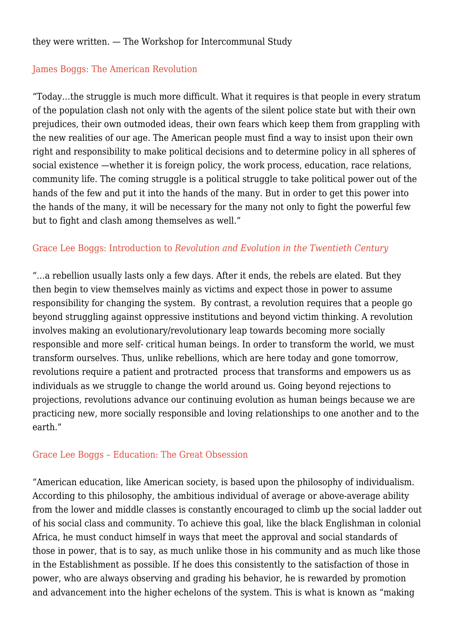## they were written. — The Workshop for Intercommunal Study

## [James Boggs: The American Revolution](http://intercommunalworkshop.org/james-boggs-the-american-revolution/)

"Today…the struggle is much more difficult. What it requires is that people in every stratum of the population clash not only with the agents of the silent police state but with their own prejudices, their own outmoded ideas, their own fears which keep them from grappling with the new realities of our age. The American people must find a way to insist upon their own right and responsibility to make political decisions and to determine policy in all spheres of social existence —whether it is foreign policy, the work process, education, race relations, community life. The coming struggle is a political struggle to take political power out of the hands of the few and put it into the hands of the many. But in order to get this power into the hands of the many, it will be necessary for the many not only to fight the powerful few but to fight and clash among themselves as well."

## [Grace Lee Boggs: Introduction to](http://intercommunalworkshop.org/grace-lee-boggs-introduction-revolution-evolution/) *[Revolution and Evolution in the Twentieth Century](http://intercommunalworkshop.org/grace-lee-boggs-introduction-revolution-evolution/)*

"…a rebellion usually lasts only a few days. After it ends, the rebels are elated. But they then begin to view themselves mainly as victims and expect those in power to assume responsibility for changing the system. By contrast, a revolution requires that a people go beyond struggling against oppressive institutions and beyond victim thinking. A revolution involves making an evolutionary/revolutionary leap towards becoming more socially responsible and more self- critical human beings. In order to transform the world, we must transform ourselves. Thus, unlike rebellions, which are here today and gone tomorrow, revolutions require a patient and protracted process that transforms and empowers us as individuals as we struggle to change the world around us. Going beyond rejections to projections, revolutions advance our continuing evolution as human beings because we are practicing new, more socially responsible and loving relationships to one another and to the earth."

#### [Grace Lee Boggs – Education: The Great Obsession](http://intercommunalworkshop.org/boggs-education-great-obsession/)

"American education, like American society, is based upon the philosophy of individualism. According to this philosophy, the ambitious individual of average or above-average ability from the lower and middle classes is constantly encouraged to climb up the social ladder out of his social class and community. To achieve this goal, like the black Englishman in colonial Africa, he must conduct himself in ways that meet the approval and social standards of those in power, that is to say, as much unlike those in his community and as much like those in the Establishment as possible. If he does this consistently to the satisfaction of those in power, who are always observing and grading his behavior, he is rewarded by promotion and advancement into the higher echelons of the system. This is what is known as "making